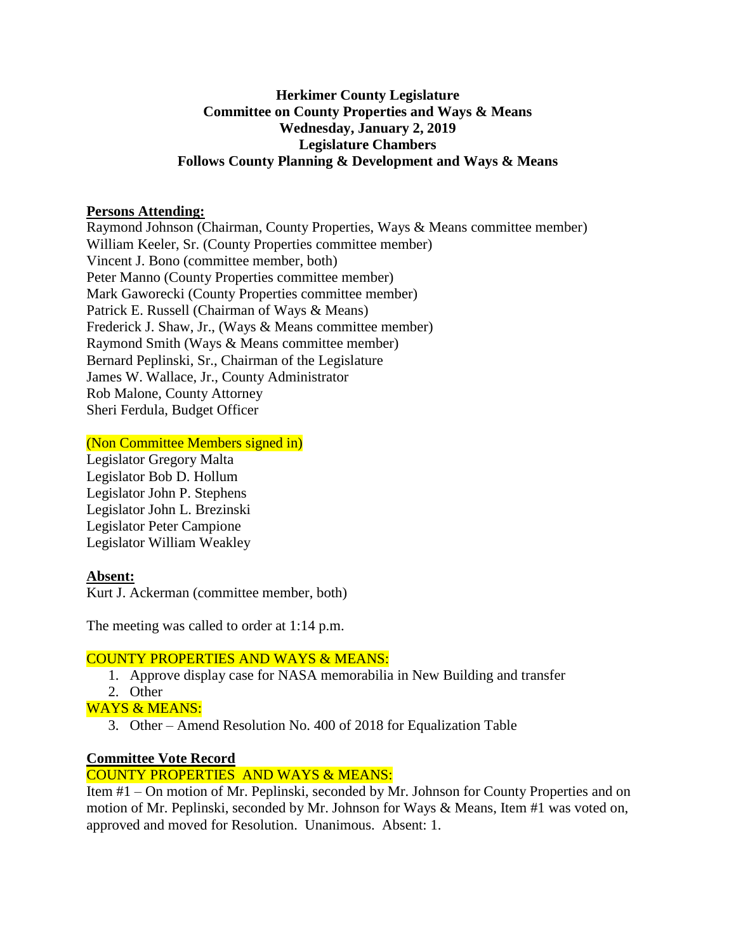#### **Herkimer County Legislature Committee on County Properties and Ways & Means Wednesday, January 2, 2019 Legislature Chambers Follows County Planning & Development and Ways & Means**

#### **Persons Attending:**

Raymond Johnson (Chairman, County Properties, Ways & Means committee member) William Keeler, Sr. (County Properties committee member) Vincent J. Bono (committee member, both) Peter Manno (County Properties committee member) Mark Gaworecki (County Properties committee member) Patrick E. Russell (Chairman of Ways & Means) Frederick J. Shaw, Jr., (Ways & Means committee member) Raymond Smith (Ways & Means committee member) Bernard Peplinski, Sr., Chairman of the Legislature James W. Wallace, Jr., County Administrator Rob Malone, County Attorney Sheri Ferdula, Budget Officer

#### (Non Committee Members signed in)

Legislator Gregory Malta Legislator Bob D. Hollum Legislator John P. Stephens Legislator John L. Brezinski Legislator Peter Campione Legislator William Weakley

## **Absent:**

Kurt J. Ackerman (committee member, both)

The meeting was called to order at 1:14 p.m.

## COUNTY PROPERTIES AND WAYS & MEANS:

- 1. Approve display case for NASA memorabilia in New Building and transfer
- 2. Other
- WAYS & MEANS:
	- 3. Other Amend Resolution No. 400 of 2018 for Equalization Table

## **Committee Vote Record**

## COUNTY PROPERTIES AND WAYS & MEANS:

Item #1 – On motion of Mr. Peplinski, seconded by Mr. Johnson for County Properties and on motion of Mr. Peplinski, seconded by Mr. Johnson for Ways & Means, Item #1 was voted on, approved and moved for Resolution. Unanimous. Absent: 1.